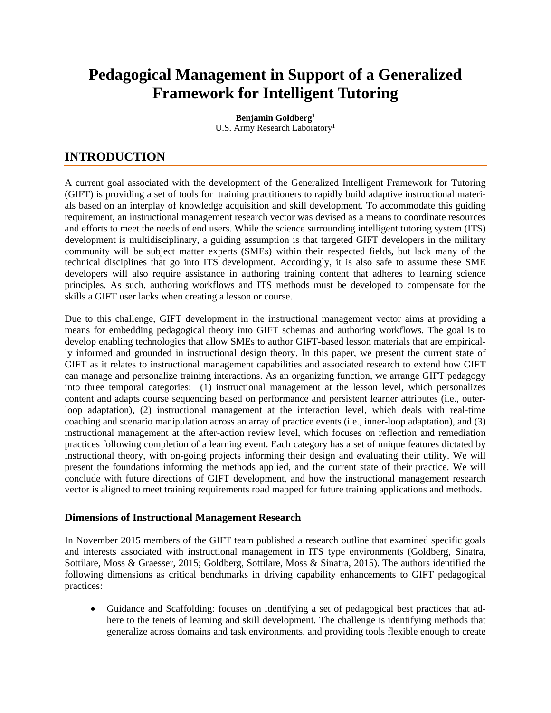# **Pedagogical Management in Support of a Generalized Framework for Intelligent Tutoring**

**Benjamin Goldberg1** U.S. Army Research Laboratory<sup>1</sup>

# **INTRODUCTION**

A current goal associated with the development of the Generalized Intelligent Framework for Tutoring (GIFT) is providing a set of tools for training practitioners to rapidly build adaptive instructional materials based on an interplay of knowledge acquisition and skill development. To accommodate this guiding requirement, an instructional management research vector was devised as a means to coordinate resources and efforts to meet the needs of end users. While the science surrounding intelligent tutoring system (ITS) development is multidisciplinary, a guiding assumption is that targeted GIFT developers in the military community will be subject matter experts (SMEs) within their respected fields, but lack many of the technical disciplines that go into ITS development. Accordingly, it is also safe to assume these SME developers will also require assistance in authoring training content that adheres to learning science principles. As such, authoring workflows and ITS methods must be developed to compensate for the skills a GIFT user lacks when creating a lesson or course.

Due to this challenge, GIFT development in the instructional management vector aims at providing a means for embedding pedagogical theory into GIFT schemas and authoring workflows. The goal is to develop enabling technologies that allow SMEs to author GIFT-based lesson materials that are empirically informed and grounded in instructional design theory. In this paper, we present the current state of GIFT as it relates to instructional management capabilities and associated research to extend how GIFT can manage and personalize training interactions. As an organizing function, we arrange GIFT pedagogy into three temporal categories: (1) instructional management at the lesson level, which personalizes content and adapts course sequencing based on performance and persistent learner attributes (i.e., outerloop adaptation), (2) instructional management at the interaction level, which deals with real-time coaching and scenario manipulation across an array of practice events (i.e., inner-loop adaptation), and (3) instructional management at the after-action review level, which focuses on reflection and remediation practices following completion of a learning event. Each category has a set of unique features dictated by instructional theory, with on-going projects informing their design and evaluating their utility. We will present the foundations informing the methods applied, and the current state of their practice. We will conclude with future directions of GIFT development, and how the instructional management research vector is aligned to meet training requirements road mapped for future training applications and methods.

#### **Dimensions of Instructional Management Research**

In November 2015 members of the GIFT team published a research outline that examined specific goals and interests associated with instructional management in ITS type environments (Goldberg, Sinatra, Sottilare, Moss & Graesser, 2015; Goldberg, Sottilare, Moss & Sinatra, 2015). The authors identified the following dimensions as critical benchmarks in driving capability enhancements to GIFT pedagogical practices:

• Guidance and Scaffolding: focuses on identifying a set of pedagogical best practices that adhere to the tenets of learning and skill development. The challenge is identifying methods that generalize across domains and task environments, and providing tools flexible enough to create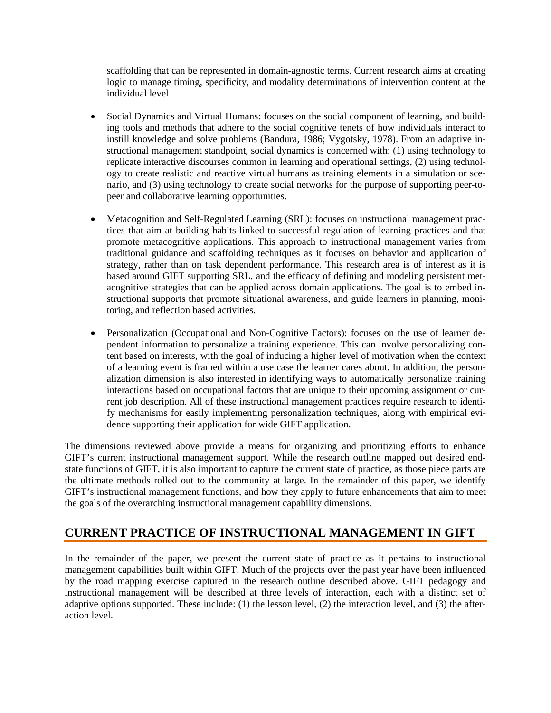scaffolding that can be represented in domain-agnostic terms. Current research aims at creating logic to manage timing, specificity, and modality determinations of intervention content at the individual level.

- Social Dynamics and Virtual Humans: focuses on the social component of learning, and building tools and methods that adhere to the social cognitive tenets of how individuals interact to instill knowledge and solve problems (Bandura, 1986; Vygotsky, 1978). From an adaptive instructional management standpoint, social dynamics is concerned with: (1) using technology to replicate interactive discourses common in learning and operational settings, (2) using technology to create realistic and reactive virtual humans as training elements in a simulation or scenario, and (3) using technology to create social networks for the purpose of supporting peer-topeer and collaborative learning opportunities.
- Metacognition and Self-Regulated Learning (SRL): focuses on instructional management practices that aim at building habits linked to successful regulation of learning practices and that promote metacognitive applications. This approach to instructional management varies from traditional guidance and scaffolding techniques as it focuses on behavior and application of strategy, rather than on task dependent performance. This research area is of interest as it is based around GIFT supporting SRL, and the efficacy of defining and modeling persistent metacognitive strategies that can be applied across domain applications. The goal is to embed instructional supports that promote situational awareness, and guide learners in planning, monitoring, and reflection based activities.
- Personalization (Occupational and Non-Cognitive Factors): focuses on the use of learner dependent information to personalize a training experience. This can involve personalizing content based on interests, with the goal of inducing a higher level of motivation when the context of a learning event is framed within a use case the learner cares about. In addition, the personalization dimension is also interested in identifying ways to automatically personalize training interactions based on occupational factors that are unique to their upcoming assignment or current job description. All of these instructional management practices require research to identify mechanisms for easily implementing personalization techniques, along with empirical evidence supporting their application for wide GIFT application.

The dimensions reviewed above provide a means for organizing and prioritizing efforts to enhance GIFT's current instructional management support. While the research outline mapped out desired endstate functions of GIFT, it is also important to capture the current state of practice, as those piece parts are the ultimate methods rolled out to the community at large. In the remainder of this paper, we identify GIFT's instructional management functions, and how they apply to future enhancements that aim to meet the goals of the overarching instructional management capability dimensions.

# **CURRENT PRACTICE OF INSTRUCTIONAL MANAGEMENT IN GIFT**

In the remainder of the paper, we present the current state of practice as it pertains to instructional management capabilities built within GIFT. Much of the projects over the past year have been influenced by the road mapping exercise captured in the research outline described above. GIFT pedagogy and instructional management will be described at three levels of interaction, each with a distinct set of adaptive options supported. These include: (1) the lesson level, (2) the interaction level, and (3) the afteraction level.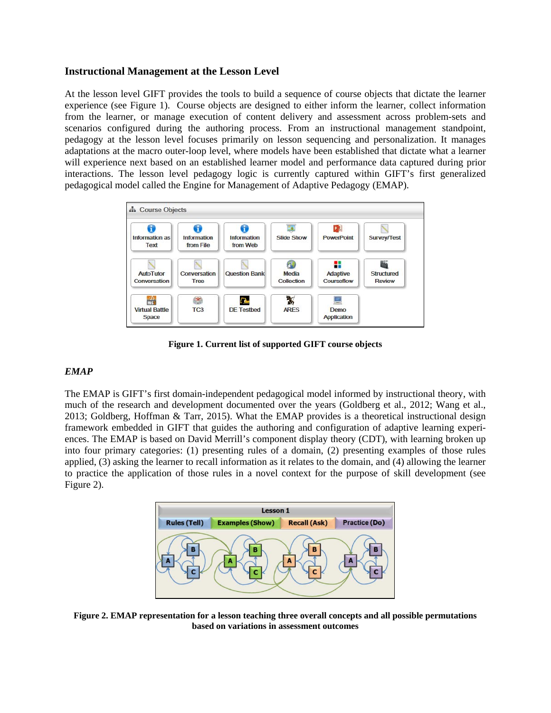#### **Instructional Management at the Lesson Level**

At the lesson level GIFT provides the tools to build a sequence of course objects that dictate the learner experience (see Figure 1). Course objects are designed to either inform the learner, collect information from the learner, or manage execution of content delivery and assessment across problem-sets and scenarios configured during the authoring process. From an instructional management standpoint, pedagogy at the lesson level focuses primarily on lesson sequencing and personalization. It manages adaptations at the macro outer-loop level, where models have been established that dictate what a learner will experience next based on an established learner model and performance data captured during prior interactions. The lesson level pedagogy logic is currently captured within GIFT's first generalized pedagogical model called the Engine for Management of Adaptive Pedagogy (EMAP).



**Figure 1. Current list of supported GIFT course objects**

#### *EMAP*

The EMAP is GIFT's first domain-independent pedagogical model informed by instructional theory, with much of the research and development documented over the years (Goldberg et al., 2012; Wang et al., 2013; Goldberg, Hoffman & Tarr, 2015). What the EMAP provides is a theoretical instructional design framework embedded in GIFT that guides the authoring and configuration of adaptive learning experiences. The EMAP is based on David Merrill's component display theory (CDT), with learning broken up into four primary categories: (1) presenting rules of a domain, (2) presenting examples of those rules applied, (3) asking the learner to recall information as it relates to the domain, and (4) allowing the learner to practice the application of those rules in a novel context for the purpose of skill development (see Figure 2).



**Figure 2. EMAP representation for a lesson teaching three overall concepts and all possible permutations based on variations in assessment outcomes**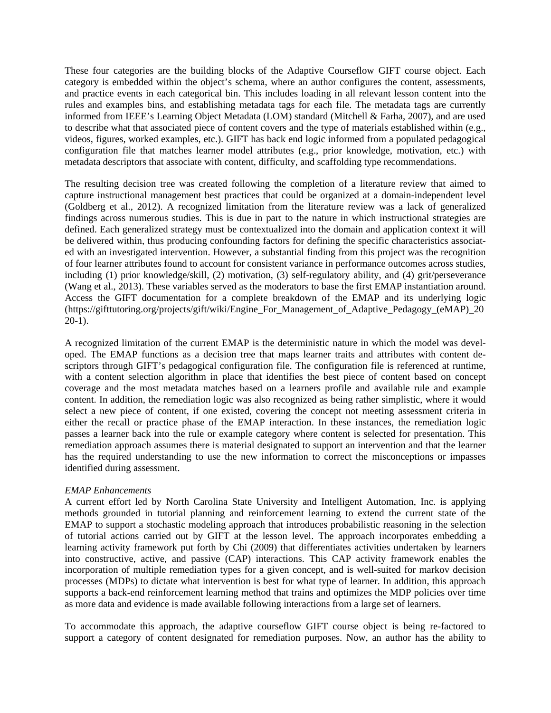These four categories are the building blocks of the Adaptive Courseflow GIFT course object. Each category is embedded within the object's schema, where an author configures the content, assessments, and practice events in each categorical bin. This includes loading in all relevant lesson content into the rules and examples bins, and establishing metadata tags for each file. The metadata tags are currently informed from IEEE's Learning Object Metadata (LOM) standard (Mitchell & Farha, 2007), and are used to describe what that associated piece of content covers and the type of materials established within (e.g., videos, figures, worked examples, etc.). GIFT has back end logic informed from a populated pedagogical configuration file that matches learner model attributes (e.g., prior knowledge, motivation, etc.) with metadata descriptors that associate with content, difficulty, and scaffolding type recommendations.

The resulting decision tree was created following the completion of a literature review that aimed to capture instructional management best practices that could be organized at a domain-independent level (Goldberg et al., 2012). A recognized limitation from the literature review was a lack of generalized findings across numerous studies. This is due in part to the nature in which instructional strategies are defined. Each generalized strategy must be contextualized into the domain and application context it will be delivered within, thus producing confounding factors for defining the specific characteristics associated with an investigated intervention. However, a substantial finding from this project was the recognition of four learner attributes found to account for consistent variance in performance outcomes across studies, including (1) prior knowledge/skill, (2) motivation, (3) self-regulatory ability, and (4) grit/perseverance (Wang et al., 2013). These variables served as the moderators to base the first EMAP instantiation around. Access the GIFT documentation for a complete breakdown of the EMAP and its underlying logic (https://gifttutoring.org/projects/gift/wiki/Engine\_For\_Management\_of\_Adaptive\_Pedagogy\_(eMAP)\_20 20-1).

A recognized limitation of the current EMAP is the deterministic nature in which the model was developed. The EMAP functions as a decision tree that maps learner traits and attributes with content descriptors through GIFT's pedagogical configuration file. The configuration file is referenced at runtime, with a content selection algorithm in place that identifies the best piece of content based on concept coverage and the most metadata matches based on a learners profile and available rule and example content. In addition, the remediation logic was also recognized as being rather simplistic, where it would select a new piece of content, if one existed, covering the concept not meeting assessment criteria in either the recall or practice phase of the EMAP interaction. In these instances, the remediation logic passes a learner back into the rule or example category where content is selected for presentation. This remediation approach assumes there is material designated to support an intervention and that the learner has the required understanding to use the new information to correct the misconceptions or impasses identified during assessment.

#### *EMAP Enhancements*

A current effort led by North Carolina State University and Intelligent Automation, Inc. is applying methods grounded in tutorial planning and reinforcement learning to extend the current state of the EMAP to support a stochastic modeling approach that introduces probabilistic reasoning in the selection of tutorial actions carried out by GIFT at the lesson level. The approach incorporates embedding a learning activity framework put forth by Chi (2009) that differentiates activities undertaken by learners into constructive, active, and passive (CAP) interactions. This CAP activity framework enables the incorporation of multiple remediation types for a given concept, and is well-suited for markov decision processes (MDPs) to dictate what intervention is best for what type of learner. In addition, this approach supports a back-end reinforcement learning method that trains and optimizes the MDP policies over time as more data and evidence is made available following interactions from a large set of learners.

To accommodate this approach, the adaptive courseflow GIFT course object is being re-factored to support a category of content designated for remediation purposes. Now, an author has the ability to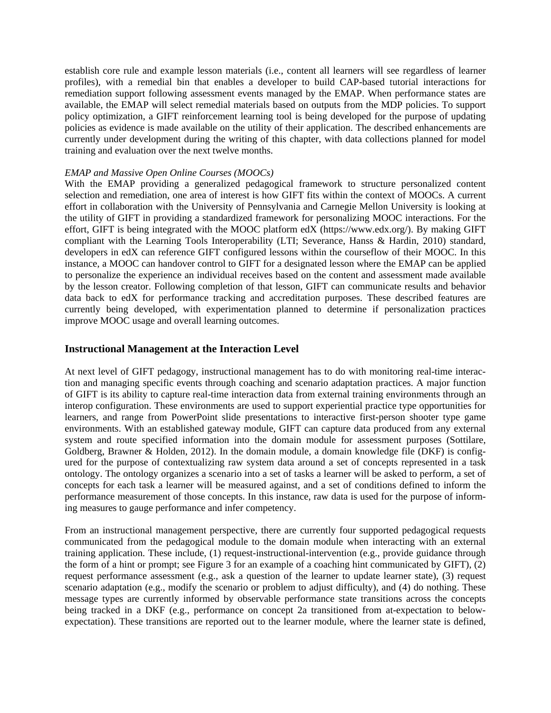establish core rule and example lesson materials (i.e., content all learners will see regardless of learner profiles), with a remedial bin that enables a developer to build CAP-based tutorial interactions for remediation support following assessment events managed by the EMAP. When performance states are available, the EMAP will select remedial materials based on outputs from the MDP policies. To support policy optimization, a GIFT reinforcement learning tool is being developed for the purpose of updating policies as evidence is made available on the utility of their application. The described enhancements are currently under development during the writing of this chapter, with data collections planned for model training and evaluation over the next twelve months.

#### *EMAP and Massive Open Online Courses (MOOCs)*

With the EMAP providing a generalized pedagogical framework to structure personalized content selection and remediation, one area of interest is how GIFT fits within the context of MOOCs. A current effort in collaboration with the University of Pennsylvania and Carnegie Mellon University is looking at the utility of GIFT in providing a standardized framework for personalizing MOOC interactions. For the effort, GIFT is being integrated with the MOOC platform edX (https://www.edx.org/). By making GIFT compliant with the Learning Tools Interoperability (LTI; Severance, Hanss & Hardin, 2010) standard, developers in edX can reference GIFT configured lessons within the courseflow of their MOOC. In this instance, a MOOC can handover control to GIFT for a designated lesson where the EMAP can be applied to personalize the experience an individual receives based on the content and assessment made available by the lesson creator. Following completion of that lesson, GIFT can communicate results and behavior data back to edX for performance tracking and accreditation purposes. These described features are currently being developed, with experimentation planned to determine if personalization practices improve MOOC usage and overall learning outcomes.

#### **Instructional Management at the Interaction Level**

At next level of GIFT pedagogy, instructional management has to do with monitoring real-time interaction and managing specific events through coaching and scenario adaptation practices. A major function of GIFT is its ability to capture real-time interaction data from external training environments through an interop configuration. These environments are used to support experiential practice type opportunities for learners, and range from PowerPoint slide presentations to interactive first-person shooter type game environments. With an established gateway module, GIFT can capture data produced from any external system and route specified information into the domain module for assessment purposes (Sottilare, Goldberg, Brawner & Holden, 2012). In the domain module, a domain knowledge file (DKF) is configured for the purpose of contextualizing raw system data around a set of concepts represented in a task ontology. The ontology organizes a scenario into a set of tasks a learner will be asked to perform, a set of concepts for each task a learner will be measured against, and a set of conditions defined to inform the performance measurement of those concepts. In this instance, raw data is used for the purpose of informing measures to gauge performance and infer competency.

From an instructional management perspective, there are currently four supported pedagogical requests communicated from the pedagogical module to the domain module when interacting with an external training application. These include, (1) request-instructional-intervention (e.g., provide guidance through the form of a hint or prompt; see Figure 3 for an example of a coaching hint communicated by GIFT), (2) request performance assessment (e.g., ask a question of the learner to update learner state), (3) request scenario adaptation (e.g., modify the scenario or problem to adjust difficulty), and (4) do nothing. These message types are currently informed by observable performance state transitions across the concepts being tracked in a DKF (e.g., performance on concept 2a transitioned from at-expectation to belowexpectation). These transitions are reported out to the learner module, where the learner state is defined,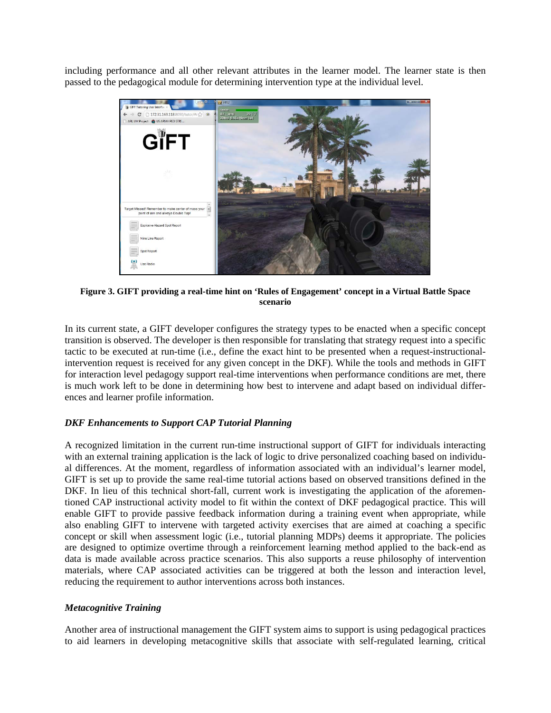including performance and all other relevant attributes in the learner model. The learner state is then passed to the pedagogical module for determining intervention type at the individual level.



**Figure 3. GIFT providing a real-time hint on 'Rules of Engagement' concept in a Virtual Battle Space scenario**

In its current state, a GIFT developer configures the strategy types to be enacted when a specific concept transition is observed. The developer is then responsible for translating that strategy request into a specific tactic to be executed at run-time (i.e., define the exact hint to be presented when a request-instructionalintervention request is received for any given concept in the DKF). While the tools and methods in GIFT for interaction level pedagogy support real-time interventions when performance conditions are met, there is much work left to be done in determining how best to intervene and adapt based on individual differences and learner profile information.

#### *DKF Enhancements to Support CAP Tutorial Planning*

A recognized limitation in the current run-time instructional support of GIFT for individuals interacting with an external training application is the lack of logic to drive personalized coaching based on individual differences. At the moment, regardless of information associated with an individual's learner model, GIFT is set up to provide the same real-time tutorial actions based on observed transitions defined in the DKF. In lieu of this technical short-fall, current work is investigating the application of the aforementioned CAP instructional activity model to fit within the context of DKF pedagogical practice. This will enable GIFT to provide passive feedback information during a training event when appropriate, while also enabling GIFT to intervene with targeted activity exercises that are aimed at coaching a specific concept or skill when assessment logic (i.e., tutorial planning MDPs) deems it appropriate. The policies are designed to optimize overtime through a reinforcement learning method applied to the back-end as data is made available across practice scenarios. This also supports a reuse philosophy of intervention materials, where CAP associated activities can be triggered at both the lesson and interaction level, reducing the requirement to author interventions across both instances.

#### *Metacognitive Training*

Another area of instructional management the GIFT system aims to support is using pedagogical practices to aid learners in developing metacognitive skills that associate with self-regulated learning, critical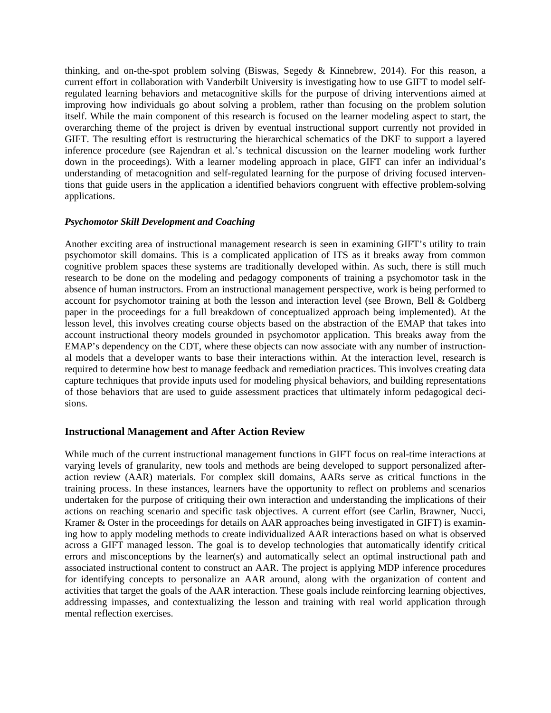thinking, and on-the-spot problem solving (Biswas, Segedy & Kinnebrew, 2014). For this reason, a current effort in collaboration with Vanderbilt University is investigating how to use GIFT to model selfregulated learning behaviors and metacognitive skills for the purpose of driving interventions aimed at improving how individuals go about solving a problem, rather than focusing on the problem solution itself. While the main component of this research is focused on the learner modeling aspect to start, the overarching theme of the project is driven by eventual instructional support currently not provided in GIFT. The resulting effort is restructuring the hierarchical schematics of the DKF to support a layered inference procedure (see Rajendran et al.'s technical discussion on the learner modeling work further down in the proceedings). With a learner modeling approach in place, GIFT can infer an individual's understanding of metacognition and self-regulated learning for the purpose of driving focused interventions that guide users in the application a identified behaviors congruent with effective problem-solving applications.

#### *Psychomotor Skill Development and Coaching*

Another exciting area of instructional management research is seen in examining GIFT's utility to train psychomotor skill domains. This is a complicated application of ITS as it breaks away from common cognitive problem spaces these systems are traditionally developed within. As such, there is still much research to be done on the modeling and pedagogy components of training a psychomotor task in the absence of human instructors. From an instructional management perspective, work is being performed to account for psychomotor training at both the lesson and interaction level (see Brown, Bell & Goldberg paper in the proceedings for a full breakdown of conceptualized approach being implemented). At the lesson level, this involves creating course objects based on the abstraction of the EMAP that takes into account instructional theory models grounded in psychomotor application. This breaks away from the EMAP's dependency on the CDT, where these objects can now associate with any number of instructional models that a developer wants to base their interactions within. At the interaction level, research is required to determine how best to manage feedback and remediation practices. This involves creating data capture techniques that provide inputs used for modeling physical behaviors, and building representations of those behaviors that are used to guide assessment practices that ultimately inform pedagogical decisions.

#### **Instructional Management and After Action Review**

While much of the current instructional management functions in GIFT focus on real-time interactions at varying levels of granularity, new tools and methods are being developed to support personalized afteraction review (AAR) materials. For complex skill domains, AARs serve as critical functions in the training process. In these instances, learners have the opportunity to reflect on problems and scenarios undertaken for the purpose of critiquing their own interaction and understanding the implications of their actions on reaching scenario and specific task objectives. A current effort (see Carlin, Brawner, Nucci, Kramer & Oster in the proceedings for details on AAR approaches being investigated in GIFT) is examining how to apply modeling methods to create individualized AAR interactions based on what is observed across a GIFT managed lesson. The goal is to develop technologies that automatically identify critical errors and misconceptions by the learner(s) and automatically select an optimal instructional path and associated instructional content to construct an AAR. The project is applying MDP inference procedures for identifying concepts to personalize an AAR around, along with the organization of content and activities that target the goals of the AAR interaction. These goals include reinforcing learning objectives, addressing impasses, and contextualizing the lesson and training with real world application through mental reflection exercises.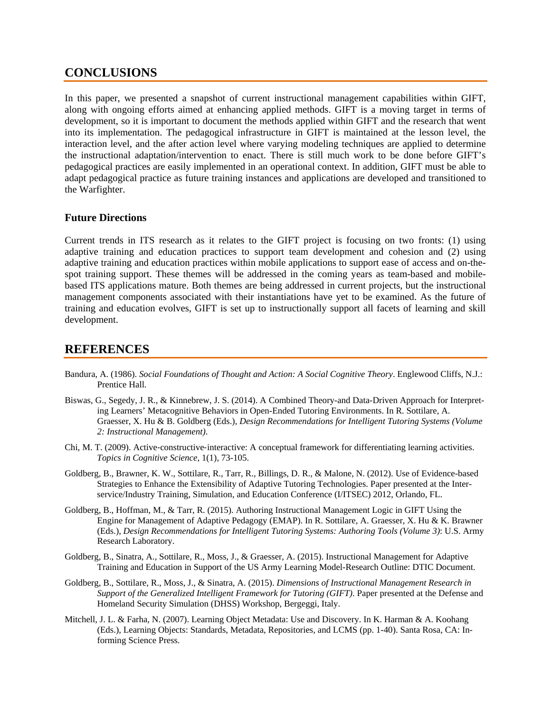## **CONCLUSIONS**

In this paper, we presented a snapshot of current instructional management capabilities within GIFT, along with ongoing efforts aimed at enhancing applied methods. GIFT is a moving target in terms of development, so it is important to document the methods applied within GIFT and the research that went into its implementation. The pedagogical infrastructure in GIFT is maintained at the lesson level, the interaction level, and the after action level where varying modeling techniques are applied to determine the instructional adaptation/intervention to enact. There is still much work to be done before GIFT's pedagogical practices are easily implemented in an operational context. In addition, GIFT must be able to adapt pedagogical practice as future training instances and applications are developed and transitioned to the Warfighter.

#### **Future Directions**

Current trends in ITS research as it relates to the GIFT project is focusing on two fronts: (1) using adaptive training and education practices to support team development and cohesion and (2) using adaptive training and education practices within mobile applications to support ease of access and on-thespot training support. These themes will be addressed in the coming years as team-based and mobilebased ITS applications mature. Both themes are being addressed in current projects, but the instructional management components associated with their instantiations have yet to be examined. As the future of training and education evolves, GIFT is set up to instructionally support all facets of learning and skill development.

## **REFERENCES**

- Bandura, A. (1986). *Social Foundations of Thought and Action: A Social Cognitive Theory*. Englewood Cliffs, N.J.: Prentice Hall.
- Biswas, G., Segedy, J. R., & Kinnebrew, J. S. (2014). A Combined Theory-and Data-Driven Approach for Interpreting Learners' Metacognitive Behaviors in Open-Ended Tutoring Environments. In R. Sottilare, A. Graesser, X. Hu & B. Goldberg (Eds.), *Design Recommendations for Intelligent Tutoring Systems (Volume 2: Instructional Management)*.
- Chi, M. T. (2009). Active‐constructive‐interactive: A conceptual framework for differentiating learning activities. *Topics in Cognitive Science*, 1(1), 73-105.
- Goldberg, B., Brawner, K. W., Sottilare, R., Tarr, R., Billings, D. R., & Malone, N. (2012). Use of Evidence-based Strategies to Enhance the Extensibility of Adaptive Tutoring Technologies. Paper presented at the Interservice/Industry Training, Simulation, and Education Conference (I/ITSEC) 2012, Orlando, FL.
- Goldberg, B., Hoffman, M., & Tarr, R. (2015). Authoring Instructional Management Logic in GIFT Using the Engine for Management of Adaptive Pedagogy (EMAP). In R. Sottilare, A. Graesser, X. Hu & K. Brawner (Eds.), *Design Recommendations for Intelligent Tutoring Systems: Authoring Tools (Volume 3)*: U.S. Army Research Laboratory.
- Goldberg, B., Sinatra, A., Sottilare, R., Moss, J., & Graesser, A. (2015). Instructional Management for Adaptive Training and Education in Support of the US Army Learning Model-Research Outline: DTIC Document.
- Goldberg, B., Sottilare, R., Moss, J., & Sinatra, A. (2015). *Dimensions of Instructional Management Research in Support of the Generalized Intelligent Framework for Tutoring (GIFT)*. Paper presented at the Defense and Homeland Security Simulation (DHSS) Workshop, Bergeggi, Italy.
- Mitchell, J. L. & Farha, N. (2007). Learning Object Metadata: Use and Discovery. In K. Harman & A. Koohang (Eds.), Learning Objects: Standards, Metadata, Repositories, and LCMS (pp. 1-40). Santa Rosa, CA: Informing Science Press.